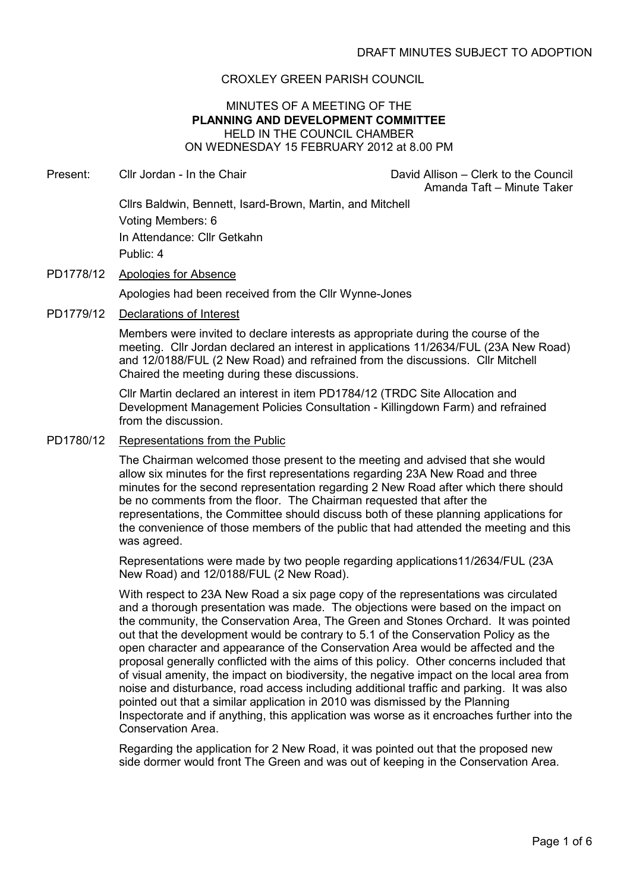## CROXLEY GREEN PARISH COUNCIL

### MINUTES OF A MEETING OF THE PLANNING AND DEVELOPMENT COMMITTEE HELD IN THE COUNCIL CHAMBER ON WEDNESDAY 15 FEBRUARY 2012 at 8.00 PM

Present: Cllr Jordan - In the Chair David Allison – Clerk to the Council

Amanda Taft – Minute Taker

Cllrs Baldwin, Bennett, Isard-Brown, Martin, and Mitchell Voting Members: 6 In Attendance: Cllr Getkahn Public: 4

- PD1778/12 Apologies for Absence Apologies had been received from the Cllr Wynne-Jones
- PD1779/12 Declarations of Interest

Members were invited to declare interests as appropriate during the course of the meeting. Cllr Jordan declared an interest in applications 11/2634/FUL (23A New Road) and 12/0188/FUL (2 New Road) and refrained from the discussions. Cllr Mitchell Chaired the meeting during these discussions.

Cllr Martin declared an interest in item PD1784/12 (TRDC Site Allocation and Development Management Policies Consultation - Killingdown Farm) and refrained from the discussion.

PD1780/12 Representations from the Public

The Chairman welcomed those present to the meeting and advised that she would allow six minutes for the first representations regarding 23A New Road and three minutes for the second representation regarding 2 New Road after which there should be no comments from the floor. The Chairman requested that after the representations, the Committee should discuss both of these planning applications for the convenience of those members of the public that had attended the meeting and this was agreed.

Representations were made by two people regarding applications11/2634/FUL (23A New Road) and 12/0188/FUL (2 New Road).

With respect to 23A New Road a six page copy of the representations was circulated and a thorough presentation was made. The objections were based on the impact on the community, the Conservation Area, The Green and Stones Orchard. It was pointed out that the development would be contrary to 5.1 of the Conservation Policy as the open character and appearance of the Conservation Area would be affected and the proposal generally conflicted with the aims of this policy. Other concerns included that of visual amenity, the impact on biodiversity, the negative impact on the local area from noise and disturbance, road access including additional traffic and parking. It was also pointed out that a similar application in 2010 was dismissed by the Planning Inspectorate and if anything, this application was worse as it encroaches further into the Conservation Area.

Regarding the application for 2 New Road, it was pointed out that the proposed new side dormer would front The Green and was out of keeping in the Conservation Area.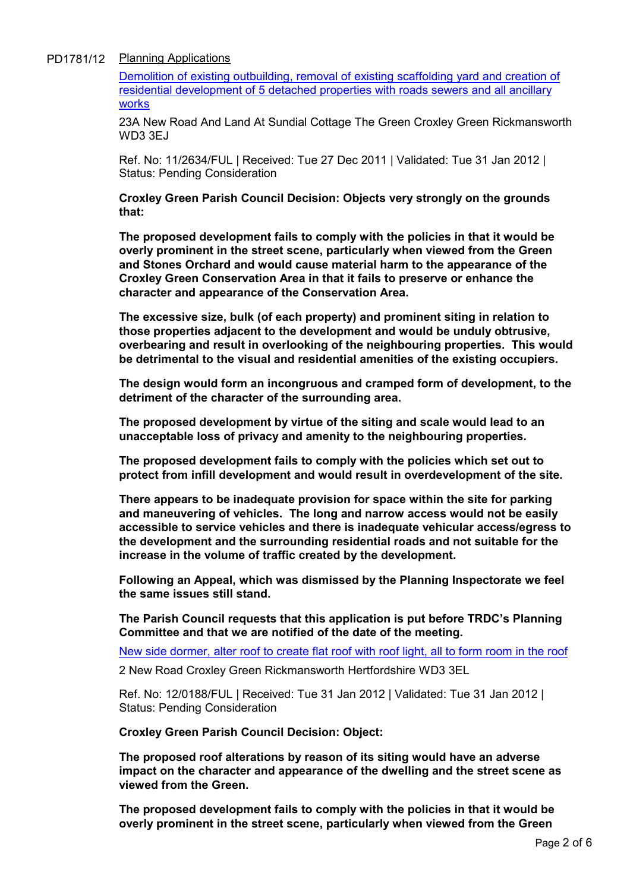## PD1781/12 Planning Applications

Demolition of existing outbuilding, removal of existing scaffolding yard and creation of residential development of 5 detached properties with roads sewers and all ancillary works

23A New Road And Land At Sundial Cottage The Green Croxley Green Rickmansworth WD3 3EJ

Ref. No: 11/2634/FUL | Received: Tue 27 Dec 2011 | Validated: Tue 31 Jan 2012 | Status: Pending Consideration

Croxley Green Parish Council Decision: Objects very strongly on the grounds that:

The proposed development fails to comply with the policies in that it would be overly prominent in the street scene, particularly when viewed from the Green and Stones Orchard and would cause material harm to the appearance of the Croxley Green Conservation Area in that it fails to preserve or enhance the character and appearance of the Conservation Area.

The excessive size, bulk (of each property) and prominent siting in relation to those properties adjacent to the development and would be unduly obtrusive, overbearing and result in overlooking of the neighbouring properties. This would be detrimental to the visual and residential amenities of the existing occupiers.

The design would form an incongruous and cramped form of development, to the detriment of the character of the surrounding area.

The proposed development by virtue of the siting and scale would lead to an unacceptable loss of privacy and amenity to the neighbouring properties.

The proposed development fails to comply with the policies which set out to protect from infill development and would result in overdevelopment of the site.

There appears to be inadequate provision for space within the site for parking and maneuvering of vehicles. The long and narrow access would not be easily accessible to service vehicles and there is inadequate vehicular access/egress to the development and the surrounding residential roads and not suitable for the increase in the volume of traffic created by the development.

Following an Appeal, which was dismissed by the Planning Inspectorate we feel the same issues still stand.

The Parish Council requests that this application is put before TRDC's Planning Committee and that we are notified of the date of the meeting.

New side dormer, alter roof to create flat roof with roof light, all to form room in the roof

2 New Road Croxley Green Rickmansworth Hertfordshire WD3 3EL

Ref. No: 12/0188/FUL | Received: Tue 31 Jan 2012 | Validated: Tue 31 Jan 2012 | Status: Pending Consideration

Croxley Green Parish Council Decision: Object:

The proposed roof alterations by reason of its siting would have an adverse impact on the character and appearance of the dwelling and the street scene as viewed from the Green.

The proposed development fails to comply with the policies in that it would be overly prominent in the street scene, particularly when viewed from the Green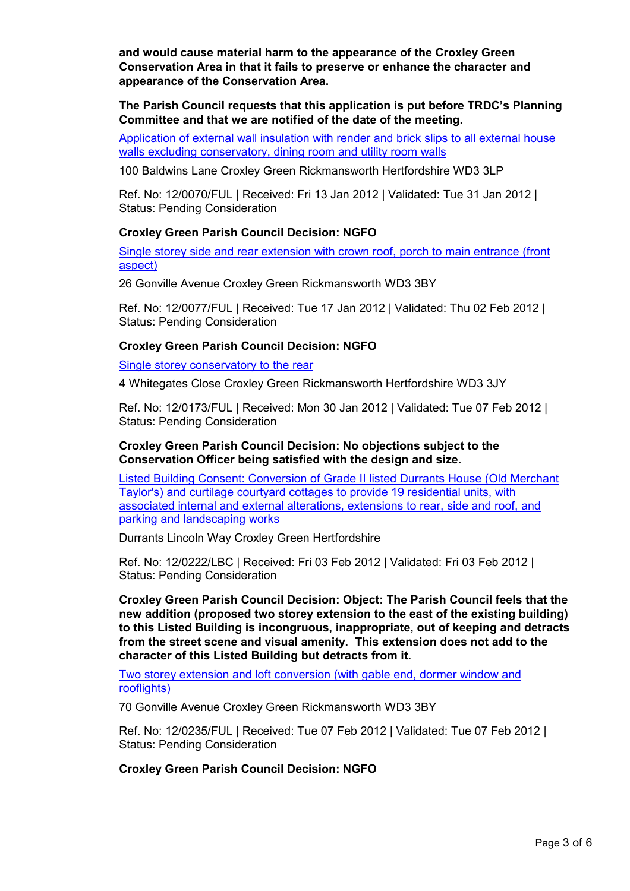and would cause material harm to the appearance of the Croxley Green Conservation Area in that it fails to preserve or enhance the character and appearance of the Conservation Area.

The Parish Council requests that this application is put before TRDC's Planning Committee and that we are notified of the date of the meeting.

Application of external wall insulation with render and brick slips to all external house walls excluding conservatory, dining room and utility room walls

100 Baldwins Lane Croxley Green Rickmansworth Hertfordshire WD3 3LP

Ref. No: 12/0070/FUL | Received: Fri 13 Jan 2012 | Validated: Tue 31 Jan 2012 | Status: Pending Consideration

### Croxley Green Parish Council Decision: NGFO

Single storey side and rear extension with crown roof, porch to main entrance (front aspect)

26 Gonville Avenue Croxley Green Rickmansworth WD3 3BY

Ref. No: 12/0077/FUL | Received: Tue 17 Jan 2012 | Validated: Thu 02 Feb 2012 | Status: Pending Consideration

### Croxley Green Parish Council Decision: NGFO

Single storey conservatory to the rear

4 Whitegates Close Croxley Green Rickmansworth Hertfordshire WD3 3JY

Ref. No: 12/0173/FUL | Received: Mon 30 Jan 2012 | Validated: Tue 07 Feb 2012 | Status: Pending Consideration

### Croxley Green Parish Council Decision: No objections subject to the Conservation Officer being satisfied with the design and size.

Listed Building Consent: Conversion of Grade II listed Durrants House (Old Merchant Taylor's) and curtilage courtyard cottages to provide 19 residential units, with associated internal and external alterations, extensions to rear, side and roof, and parking and landscaping works

Durrants Lincoln Way Croxley Green Hertfordshire

Ref. No: 12/0222/LBC | Received: Fri 03 Feb 2012 | Validated: Fri 03 Feb 2012 | Status: Pending Consideration

Croxley Green Parish Council Decision: Object: The Parish Council feels that the new addition (proposed two storey extension to the east of the existing building) to this Listed Building is incongruous, inappropriate, out of keeping and detracts from the street scene and visual amenity. This extension does not add to the character of this Listed Building but detracts from it.

Two storey extension and loft conversion (with gable end, dormer window and rooflights)

70 Gonville Avenue Croxley Green Rickmansworth WD3 3BY

Ref. No: 12/0235/FUL | Received: Tue 07 Feb 2012 | Validated: Tue 07 Feb 2012 | Status: Pending Consideration

## Croxley Green Parish Council Decision: NGFO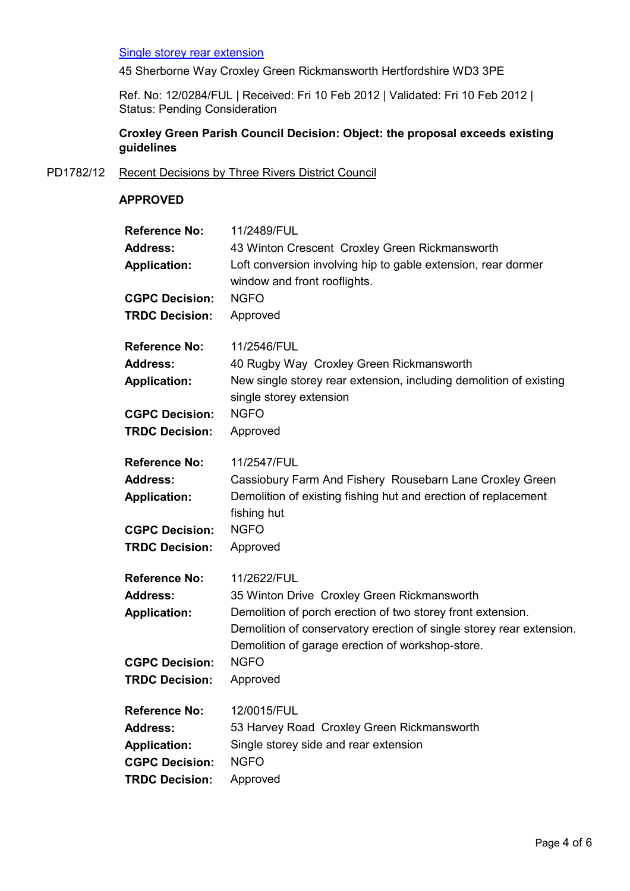### Single storey rear extension

45 Sherborne Way Croxley Green Rickmansworth Hertfordshire WD3 3PE

Ref. No: 12/0284/FUL | Received: Fri 10 Feb 2012 | Validated: Fri 10 Feb 2012 | Status: Pending Consideration

# Croxley Green Parish Council Decision: Object: the proposal exceeds existing guidelines

## PD1782/12 Recent Decisions by Three Rivers District Council

### APPROVED

| <b>Reference No:</b>  | 11/2489/FUL                                                                                                                                                                             |
|-----------------------|-----------------------------------------------------------------------------------------------------------------------------------------------------------------------------------------|
| <b>Address:</b>       | 43 Winton Crescent Croxley Green Rickmansworth                                                                                                                                          |
| <b>Application:</b>   | Loft conversion involving hip to gable extension, rear dormer<br>window and front rooflights.                                                                                           |
| <b>CGPC Decision:</b> | <b>NGFO</b>                                                                                                                                                                             |
| <b>TRDC Decision:</b> | Approved                                                                                                                                                                                |
| <b>Reference No:</b>  | 11/2546/FUL                                                                                                                                                                             |
| <b>Address:</b>       | 40 Rugby Way Croxley Green Rickmansworth                                                                                                                                                |
| <b>Application:</b>   | New single storey rear extension, including demolition of existing<br>single storey extension                                                                                           |
| <b>CGPC Decision:</b> | <b>NGFO</b>                                                                                                                                                                             |
| <b>TRDC Decision:</b> | Approved                                                                                                                                                                                |
| <b>Reference No:</b>  | 11/2547/FUL                                                                                                                                                                             |
| <b>Address:</b>       | Cassiobury Farm And Fishery Rousebarn Lane Croxley Green                                                                                                                                |
| <b>Application:</b>   | Demolition of existing fishing hut and erection of replacement<br>fishing hut                                                                                                           |
| <b>CGPC Decision:</b> | <b>NGFO</b>                                                                                                                                                                             |
| <b>TRDC Decision:</b> | Approved                                                                                                                                                                                |
| <b>Reference No:</b>  | 11/2622/FUL                                                                                                                                                                             |
| <b>Address:</b>       | 35 Winton Drive Croxley Green Rickmansworth                                                                                                                                             |
| <b>Application:</b>   | Demolition of porch erection of two storey front extension.<br>Demolition of conservatory erection of single storey rear extension.<br>Demolition of garage erection of workshop-store. |
| <b>CGPC Decision:</b> | <b>NGFO</b>                                                                                                                                                                             |
| <b>TRDC Decision:</b> | Approved                                                                                                                                                                                |
| <b>Reference No:</b>  | 12/0015/FUL                                                                                                                                                                             |
| <b>Address:</b>       | 53 Harvey Road Croxley Green Rickmansworth                                                                                                                                              |
| <b>Application:</b>   | Single storey side and rear extension                                                                                                                                                   |
| <b>CGPC Decision:</b> | <b>NGFO</b>                                                                                                                                                                             |
| <b>TRDC Decision:</b> | Approved                                                                                                                                                                                |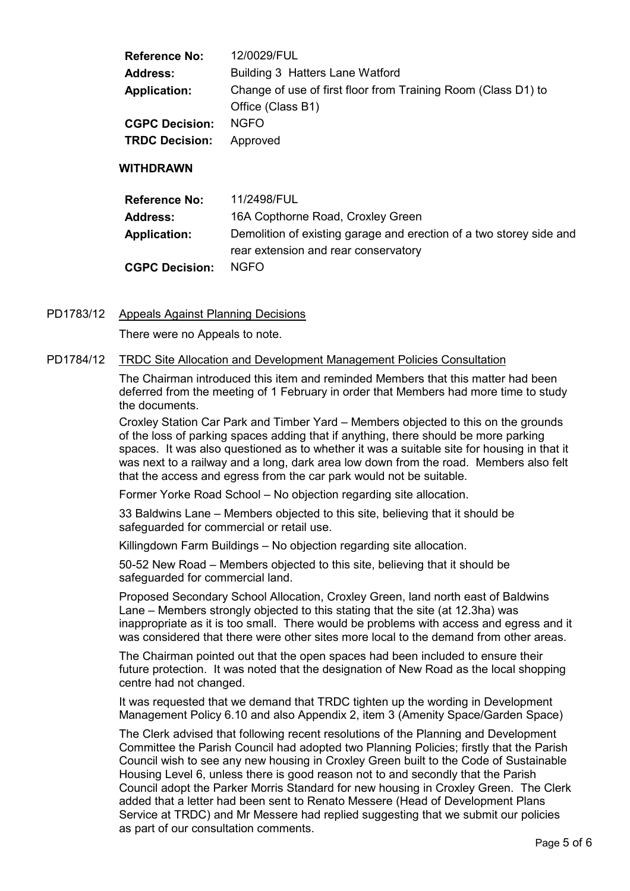| <b>Reference No:</b>  | 12/0029/FUL                                                                        |
|-----------------------|------------------------------------------------------------------------------------|
| <b>Address:</b>       | Building 3 Hatters Lane Watford                                                    |
| Application:          | Change of use of first floor from Training Room (Class D1) to<br>Office (Class B1) |
| <b>CGPC Decision:</b> | <b>NGFO</b>                                                                        |
| <b>TRDC Decision:</b> | Approved                                                                           |

### WITHDRAWN

| <b>Reference No:</b>  | 11/2498/FUL                                                         |
|-----------------------|---------------------------------------------------------------------|
| Address:              | 16A Copthorne Road, Croxley Green                                   |
| <b>Application:</b>   | Demolition of existing garage and erection of a two storey side and |
|                       | rear extension and rear conservatory                                |
| <b>CGPC Decision:</b> | NGFO.                                                               |

PD1783/12 Appeals Against Planning Decisions

There were no Appeals to note.

#### PD1784/12 TRDC Site Allocation and Development Management Policies Consultation

The Chairman introduced this item and reminded Members that this matter had been deferred from the meeting of 1 February in order that Members had more time to study the documents.

Croxley Station Car Park and Timber Yard – Members objected to this on the grounds of the loss of parking spaces adding that if anything, there should be more parking spaces. It was also questioned as to whether it was a suitable site for housing in that it was next to a railway and a long, dark area low down from the road. Members also felt that the access and egress from the car park would not be suitable.

Former Yorke Road School – No objection regarding site allocation.

33 Baldwins Lane – Members objected to this site, believing that it should be safeguarded for commercial or retail use.

Killingdown Farm Buildings – No objection regarding site allocation.

50-52 New Road – Members objected to this site, believing that it should be safeguarded for commercial land.

Proposed Secondary School Allocation, Croxley Green, land north east of Baldwins Lane – Members strongly objected to this stating that the site (at 12.3ha) was inappropriate as it is too small. There would be problems with access and egress and it was considered that there were other sites more local to the demand from other areas.

The Chairman pointed out that the open spaces had been included to ensure their future protection. It was noted that the designation of New Road as the local shopping centre had not changed.

It was requested that we demand that TRDC tighten up the wording in Development Management Policy 6.10 and also Appendix 2, item 3 (Amenity Space/Garden Space)

The Clerk advised that following recent resolutions of the Planning and Development Committee the Parish Council had adopted two Planning Policies; firstly that the Parish Council wish to see any new housing in Croxley Green built to the Code of Sustainable Housing Level 6, unless there is good reason not to and secondly that the Parish Council adopt the Parker Morris Standard for new housing in Croxley Green. The Clerk added that a letter had been sent to Renato Messere (Head of Development Plans Service at TRDC) and Mr Messere had replied suggesting that we submit our policies as part of our consultation comments.